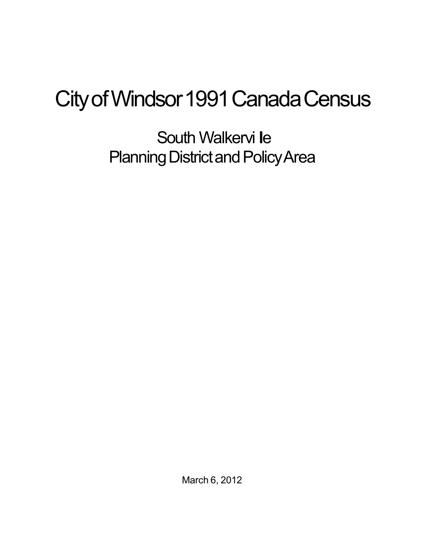## City of Windsor 1991 Canada Census

South Walkervi **l**e Planning District and Policy Area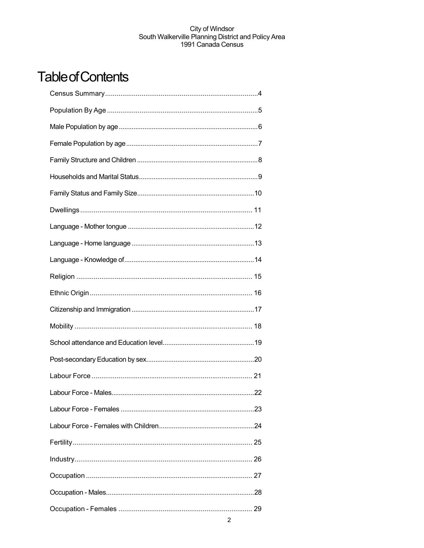## **Table of Contents**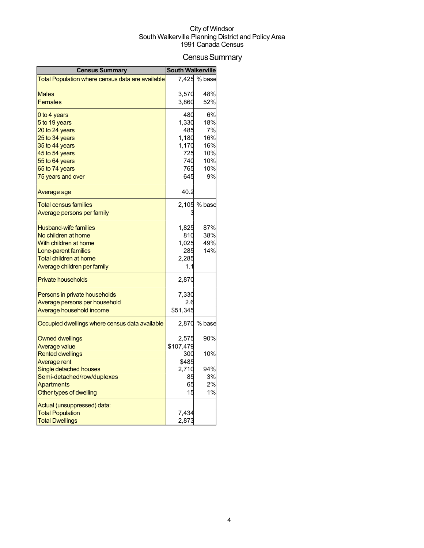## Census Summary

| <b>Census Summary</b>                            | <b>South Walkerville</b> |              |
|--------------------------------------------------|--------------------------|--------------|
| Total Population where census data are available |                          | 7,425 % base |
|                                                  |                          |              |
| Males                                            | 3,570                    | 48%          |
| Females                                          | 3,860                    | 52%          |
| 0 to 4 years                                     | 480                      | 6%           |
| 5 to 19 years                                    | 1,330                    | 18%          |
| 20 to 24 years                                   | 485                      | 7%           |
| 25 to 34 years                                   | 1,180                    | 16%          |
| 35 to 44 years                                   | 1,170                    | 16%          |
| 45 to 54 years                                   | 725                      | 10%          |
| 55 to 64 years                                   | 740                      | 10%          |
| 65 to 74 years                                   | 765                      | 10%          |
| 75 years and over                                | 645                      | 9%           |
| Average age                                      | 40.2                     |              |
| <b>Total census families</b>                     |                          | 2,105 % base |
| <u>Average persons per family</u>                |                          |              |
|                                                  |                          |              |
| <b>Husband-wife families</b>                     | 1,825                    | 87%          |
| No children at home                              | 810                      | 38%          |
| With children at home                            | 1,025                    | 49%          |
| Lone-parent families                             | 285                      | 14%          |
| <b>Total children at home</b>                    | 2,285                    |              |
| Average children per family                      | 1.1                      |              |
| <b>Private households</b>                        | 2,870                    |              |
| Persons in private households                    | 7,330                    |              |
| Average persons per household                    | 2.6                      |              |
| Average household income                         | \$51,345                 |              |
| Occupied dwellings where census data available   |                          | 2,870 % base |
| <b>Owned dwellings</b>                           | 2,575                    | 90%          |
| <b>Average value</b>                             | \$107,479                |              |
| <b>Rented dwellings</b>                          | 300                      | 10%          |
| Average rent                                     | \$485                    |              |
| Single detached houses                           | 2,710                    | 94%          |
| Semi-detached/row/duplexes                       | 85                       | 3%           |
| <b>Apartments</b>                                | 65                       | 2%           |
| Other types of dwelling                          | 15                       | 1%           |
| Actual (unsuppressed) data:                      |                          |              |
| <b>Total Population</b>                          | 7,434                    |              |
| <b>Total Dwellings</b>                           | 2,873                    |              |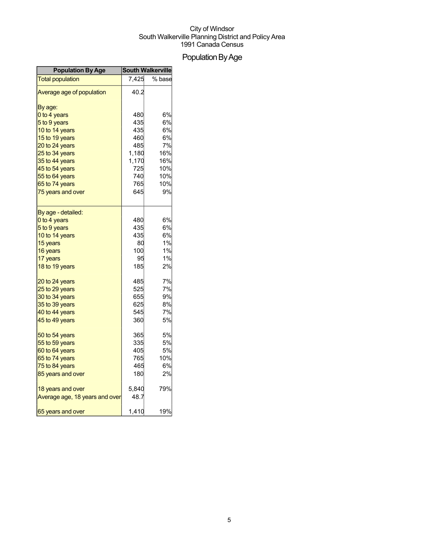## Population By Age

| <b>Population By Age</b>       |       | <b>South Walkerville</b> |
|--------------------------------|-------|--------------------------|
| <b>Total population</b>        | 7,425 | % base                   |
| Average age of population      | 40.2  |                          |
| By age:                        |       |                          |
| 0 to 4 years                   | 480   | 6%                       |
| 5 to 9 years                   | 435   | 6%                       |
| 10 to 14 years                 | 435   | 6%                       |
| 15 to 19 years                 | 460   | 6%                       |
| 20 to 24 years                 | 485   | 7%                       |
| 25 to 34 years                 | 1,180 | 16%                      |
| 35 to 44 years                 | 1,170 | 16%                      |
| 45 to 54 years                 | 725   | 10%                      |
| 55 to 64 years                 | 740   | 10%                      |
| 65 to 74 years                 | 765   | 10%                      |
| 75 years and over              | 645   | 9%                       |
| By age - detailed:             |       |                          |
| 0 to 4 years                   | 480   | 6%                       |
| 5 to 9 years                   | 435   | 6%                       |
| 10 to 14 years                 | 435   | 6%                       |
| 15 years                       | 80    | 1%                       |
| 16 years                       | 100   | 1%                       |
| 17 years                       | 95    | 1%                       |
| 18 to 19 years                 | 185   | 2%                       |
| 20 to 24 years                 | 485   | 7%                       |
| 25 to 29 years                 | 525   | 7%                       |
| 30 to 34 years                 | 655   | 9%                       |
| 35 to 39 years                 | 625   | 8%                       |
| 40 to 44 years                 | 545   | 7%                       |
| 45 to 49 years                 | 360   | 5%                       |
| 50 to 54 years                 | 365   | 5%                       |
| 55 to 59 years                 | 335   | <b>5%</b>                |
| 60 to 64 years                 | 405   | 5%                       |
| 65 to 74 years                 | 765   | 10%                      |
| 75 to 84 years                 | 465   | 6%                       |
| 85 years and over              | 180   | 2%                       |
| 18 years and over              | 5,840 | 79%                      |
| Average age, 18 years and over | 48.7  |                          |
| 65 years and over              | 1,410 | 19%                      |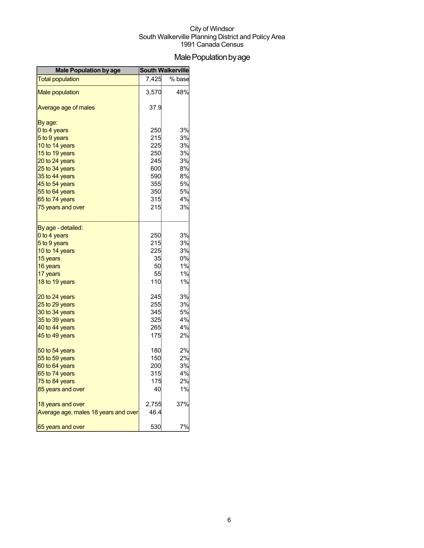## Male Population by age

| <b>Male Population by age</b>        |       | <b>South Walkerville</b> |
|--------------------------------------|-------|--------------------------|
| <b>Total population</b>              | 7,425 | % base                   |
| <b>Male population</b>               | 3,570 | 48%                      |
| Average age of males                 | 37.9  |                          |
| By age:                              |       |                          |
| 0 to 4 years                         | 250   | 3%                       |
| 5 to 9 years                         | 215   | 3%                       |
| 10 to 14 years                       | 225   | 3%                       |
| 15 to 19 years                       | 250   | 3%                       |
| 20 to 24 years                       | 245   | 3%                       |
| 25 to 34 years                       | 600   | 8%                       |
| 35 to 44 years                       | 590   | 8%                       |
| 45 to 54 years                       | 355   | 5%                       |
| 55 to 64 years                       | 350   | 5%                       |
| 65 to 74 years                       | 315   | 4%                       |
| 75 years and over                    | 215   | 3%                       |
| By age - detailed:                   |       |                          |
| 0 to 4 years                         | 250   | 3%                       |
| 5 to 9 years                         | 215   | 3%                       |
| 10 to 14 years                       | 225   | 3%                       |
| 15 years                             | 35    | 0%                       |
| 16 years                             | 50    | 1%                       |
| 17 years                             | 55    | 1%                       |
| 18 to 19 years                       | 110   | 1%                       |
| 20 to 24 years                       | 245   | 3%                       |
| 25 to 29 years                       | 255   | 3%                       |
| 30 to 34 years                       | 345   | 5%                       |
| 35 to 39 years                       | 325   | 4%                       |
| 40 to 44 years                       | 265   | 4%                       |
| 45 to 49 years                       | 175   | 2%                       |
| 50 to 54 years                       | 180   | 2%                       |
| 55 to 59 years                       | 150   | 2%                       |
| 60 to 64 years                       | 200   | 3%                       |
| 65 to 74 years                       | 315   | 4%                       |
| 75 to 84 years                       | 175   | 2%                       |
| 85 years and over                    | 40    | 1%                       |
| 18 years and over                    | 2,755 | 37%                      |
| Average age, males 18 years and over | 46.4  |                          |
| 65 years and over                    | 530   | 7%                       |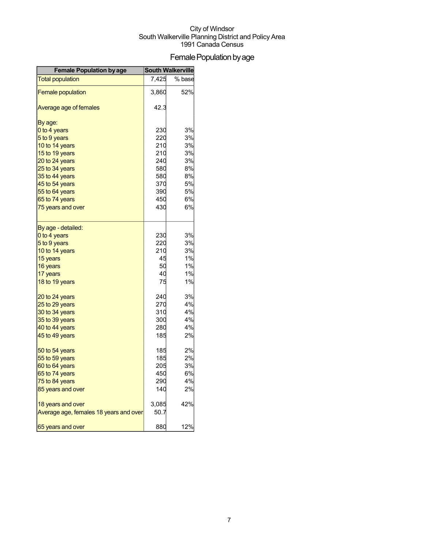## Female Population by age

| <b>Female Population by age</b>        | <b>South Walkerville</b> |        |
|----------------------------------------|--------------------------|--------|
| <b>Total population</b>                | 7,425                    | % base |
| <b>Female population</b>               | 3,860                    | 52%    |
| Average age of females                 | 42.3                     |        |
| By age:                                |                          |        |
| 0 to 4 years                           | 230                      | 3%     |
| 5 to 9 years                           | 220                      | 3%     |
| 10 to 14 years                         | 210                      | 3%     |
| 15 to 19 years                         | 210                      | 3%     |
| 20 to 24 years                         | 240                      | 3%     |
| 25 to 34 years                         | 580                      | 8%     |
| 35 to 44 years                         | 580                      | 8%     |
| 45 to 54 years                         | 370                      | 5%     |
| 55 to 64 years                         | 390                      | 5%     |
| 65 to 74 years                         | 450                      | 6%     |
| 75 years and over                      | 430                      | 6%     |
| By age - detailed:                     |                          |        |
| 0 to 4 years                           | 230                      | 3%     |
| 5 to 9 years                           | 220                      | 3%     |
| 10 to 14 years                         | 210                      | 3%     |
| 15 years                               | 45                       | 1%     |
| 16 years                               | 50                       | 1%     |
| 17 years                               | 40                       | 1%     |
| 18 to 19 years                         | 75                       | 1%     |
| 20 to 24 years                         | 240                      | 3%     |
| 25 to 29 years                         | 270                      | 4%     |
| 30 to 34 years                         | 310                      | 4%     |
| 35 to 39 years                         | 300                      | 4%     |
| 40 to 44 years                         | 280                      | 4%     |
| 45 to 49 years                         | 185                      | 2%     |
| 50 to 54 years                         | 185                      | 2%     |
| 55 to 59 years                         | 185                      | 2%     |
| 60 to 64 years                         | 205                      | 3%     |
| 65 to 74 years                         | 450                      | 6%     |
| 75 to 84 years                         | 290                      | 4%     |
| 85 years and over                      | 140                      | 2%     |
| 18 years and over                      | 3,085                    | 42%    |
| Average age, females 18 years and over | 50.7                     |        |
| 65 years and over                      | 880                      | 12%    |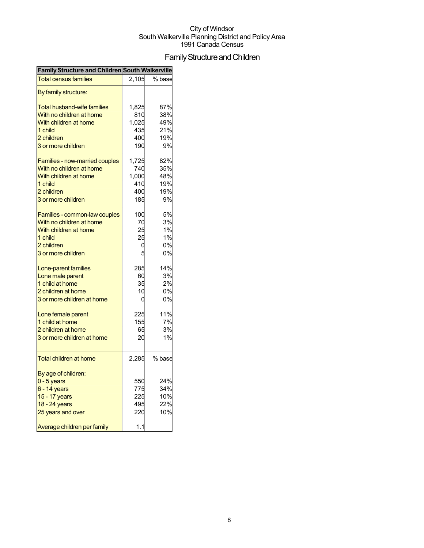## FamilyStructureandChildren

| Family Structure and Children South Walkerville |       |        |
|-------------------------------------------------|-------|--------|
| <b>Total census families</b>                    | 2,105 | % base |
| By family structure:                            |       |        |
| <b>Total husband-wife families</b>              | 1,825 | 87%    |
| With no children at home                        | 810   | 38%    |
| With children at home                           | 1,025 | 49%    |
| 1 child                                         | 435   | 21%    |
| 2 children                                      | 400   | 19%    |
| 3 or more children                              | 190   | 9%     |
| Families - now-married couples                  | 1,725 | 82%    |
| With no children at home                        | 740   | 35%    |
| With children at home                           | 1,000 | 48%    |
| 1 child                                         | 410   | 19%    |
| 2 children                                      | 400   | 19%    |
| 3 or more children                              | 185   | 9%     |
| Families - common-law couples                   | 100   | 5%     |
| With no children at home                        | 70    | 3%     |
| With children at home                           | 25    | 1%     |
| 1 child                                         | 25    | 1%     |
| 2 children                                      | ι     | 0%     |
| 3 or more children                              |       | 0%     |
| Lone-parent families                            | 285   | 14%    |
| Lone male parent                                | 60    | 3%     |
| 1 child at home                                 | 35    | 2%     |
| 2 children at home                              | 10    | 0%     |
| 3 or more children at home                      | C     | 0%     |
| Lone female parent                              | 225   | 11%    |
| 1 child at home                                 | 155   | 7%     |
| 2 children at home                              | 65    | 3%     |
| 3 or more children at home                      | 20    | 1%     |
| Total children at home                          | 2,285 | % base |
| By age of children:                             |       |        |
| $0 - 5$ years                                   | 550   | 24%    |
| $6 - 14$ years                                  | 775   | 34%    |
| 15 - 17 years                                   | 225   | 10%    |
| 18 - 24 years                                   | 495   | 22%    |
| 25 years and over                               | 220   | 10%    |
| Average children per family                     | 1.1   |        |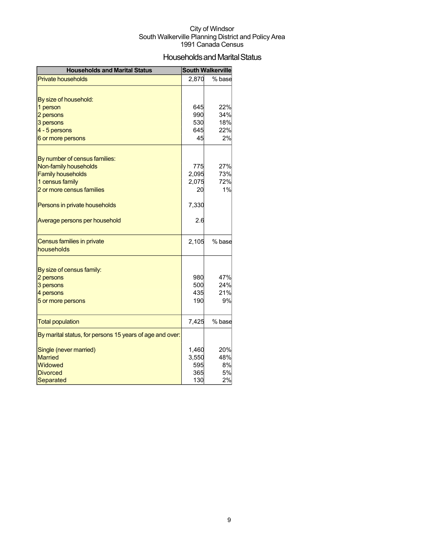## Households and Marital Status

| <b>Households and Marital Status</b>                     |       | <b>South Walkerville</b> |
|----------------------------------------------------------|-------|--------------------------|
| <b>Private households</b>                                | 2,870 | % base                   |
|                                                          |       |                          |
| By size of household:                                    |       |                          |
| 1 person                                                 | 645   | 22%                      |
| 2 persons                                                | 990   | 34%                      |
| 3 persons                                                | 530   | 18%                      |
| 4 - 5 persons                                            | 645   | 22%                      |
| 6 or more persons                                        | 45    | 2%                       |
|                                                          |       |                          |
| By number of census families:                            |       |                          |
| Non-family households                                    | 775   | 27%                      |
| <b>Family households</b>                                 | 2,095 | 73%                      |
| 1 census family                                          | 2,075 | 72%                      |
| 2 or more census families                                | 20    | 1%                       |
| Persons in private households                            | 7,330 |                          |
| Average persons per household                            | 2.6   |                          |
| Census families in private<br>households                 | 2,105 | % base                   |
|                                                          |       |                          |
| By size of census family:                                |       |                          |
| 2 persons                                                | 980   | 47%                      |
| 3 persons                                                | 500   | 24%                      |
| 4 persons                                                | 435   | 21%                      |
| 5 or more persons                                        | 190   | 9%                       |
| <b>Total population</b>                                  | 7,425 | % base                   |
| By marital status, for persons 15 years of age and over: |       |                          |
| Single (never married)                                   | 1,460 | 20%                      |
| <b>Married</b>                                           | 3,550 | 48%                      |
| Widowed                                                  | 595   | 8%                       |
| <b>Divorced</b>                                          | 365   | 5%                       |
| Separated                                                | 130   | 2%                       |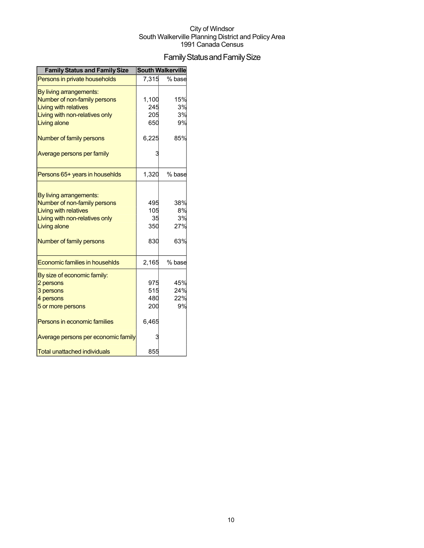## Family Status and Family Size

| <b>Family Status and Family Size</b> |       | <b>South Walkerville</b> |
|--------------------------------------|-------|--------------------------|
| Persons in private households        | 7,315 | % base                   |
| By living arrangements:              |       |                          |
| Number of non-family persons         | 1,100 | 15%                      |
| <b>Living with relatives</b>         | 245   | 3%                       |
| Living with non-relatives only       | 205   | 3%                       |
| Living alone                         | 650   | 9%                       |
| Number of family persons             | 6,225 | 85%                      |
| Average persons per family           |       |                          |
| Persons 65+ years in househlds       | 1,320 | % base                   |
|                                      |       |                          |
| By living arrangements:              |       |                          |
| Number of non-family persons         | 495   | 38%                      |
| <b>Living with relatives</b>         | 105   | 8%<br>3%                 |
| Living with non-relatives only       | 35    | 27%                      |
| Living alone                         | 350   |                          |
| Number of family persons             | 830   | 63%                      |
| Economic families in househlds       | 2,165 | % base                   |
| By size of economic family:          |       |                          |
| 2 persons                            | 975   | 45%                      |
| 3 persons                            | 515   | 24%                      |
| 4 persons                            | 480   | 22%                      |
| 5 or more persons                    | 200   | 9%                       |
| Persons in economic families         | 6,465 |                          |
| Average persons per economic family  |       |                          |
| <b>Total unattached individuals</b>  | 855   |                          |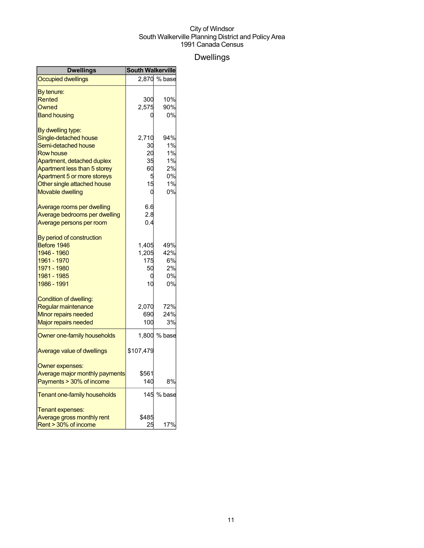## Dwellings

| <b>Dwellings</b>               | <b>South Walkerville</b> |              |
|--------------------------------|--------------------------|--------------|
| <b>Occupied dwellings</b>      |                          | 2,870 % base |
| By tenure:                     |                          |              |
| Rented                         | 300                      | 10%          |
| Owned                          | 2,575                    | 90%          |
| <b>Band housing</b>            |                          | 0%           |
| By dwelling type:              |                          |              |
| Single-detached house          | 2,710                    | 94%          |
| Semi-detached house            | 30                       | 1%           |
| <b>Row house</b>               | 20                       | 1%           |
| Apartment, detached duplex     | 35                       | 1%           |
| Apartment less than 5 storey   | 60                       | 2%           |
| Apartment 5 or more storeys    | 5                        | 0%           |
| Other single attached house    | 15                       | 1%           |
| <b>Movable dwelling</b>        | 0                        | 0%           |
| Average rooms per dwelling     | 6.6                      |              |
| Average bedrooms per dwelling  | 2.8                      |              |
| Average persons per room       | 0.4                      |              |
| By period of construction      |                          |              |
| Before 1946                    | 1,405                    | 49%          |
| 1946 - 1960                    | 1,205                    | 42%          |
| 1961 - 1970                    | 175                      | 6%           |
| 1971 - 1980                    | 50                       | 2%           |
| 1981 - 1985                    | 0                        | 0%           |
| 1986 - 1991                    | 10                       | 0%           |
| Condition of dwelling:         |                          |              |
| Regular maintenance            | 2,070                    | 72%          |
| Minor repairs needed           | 690                      | 24%          |
| Major repairs needed           | 100                      | 3%           |
| Owner one-family households    | 1,800                    | % base       |
| Average value of dwellings     | \$107,479                |              |
| Owner expenses:                |                          |              |
| Average major monthly payments | \$561                    |              |
| Payments > 30% of income       | 140                      | 8%           |
| Tenant one-family households   |                          | 145 % base   |
| Tenant expenses:               |                          |              |
| Average gross monthly rent     | \$485                    |              |
| Rent > 30% of income           | 25                       | 17%          |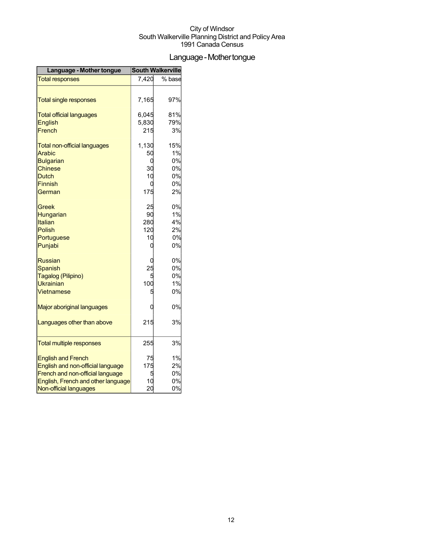## Language - Mother tongue

| Language - Mother tongue            | <b>South Walkerville</b> |        |
|-------------------------------------|--------------------------|--------|
| <b>Total responses</b>              | 7,420                    | % base |
|                                     |                          |        |
| <b>Total single responses</b>       | 7,165                    | 97%    |
| <b>Total official languages</b>     | 6,045                    | 81%    |
| <b>English</b>                      | 5,830                    | 79%    |
| French                              | 215                      | 3%     |
| <b>Total non-official languages</b> | 1,130                    | 15%    |
| Arabic                              | 50                       | 1%     |
| <b>Bulgarian</b>                    | 0                        | 0%     |
| Chinese                             | 30                       | 0%     |
| <b>Dutch</b>                        | 10                       | 0%     |
| <b>Finnish</b>                      | 0                        | 0%     |
| German                              | 175                      | 2%     |
| Greek                               | 25                       | 0%     |
| Hungarian                           | 90                       | 1%     |
| Italian                             | 280                      | 4%     |
| <b>Polish</b>                       | 120                      | 2%     |
| Portuguese                          | 10                       | 0%     |
| Punjabi                             | 0                        | 0%     |
| <b>Russian</b>                      |                          | 0%     |
| <b>Spanish</b>                      | 25                       | 0%     |
| Tagalog (Pilipino)                  |                          | 0%     |
| <b>Ukrainian</b>                    | 100                      | 1%     |
| Vietnamese                          | 5                        | 0%     |
| Major aboriginal languages          | 0                        | 0%     |
| Languages other than above          | 215                      | 3%     |
|                                     | 255                      | 3%     |
| <b>Total multiple responses</b>     |                          |        |
| <b>English and French</b>           | 75                       | 1%     |
| English and non-official language   | 175                      | 2%     |
| French and non-official language    |                          | 0%     |
| English, French and other language  | 10                       | 0%     |
| Non-official languages              | 20                       | 0%     |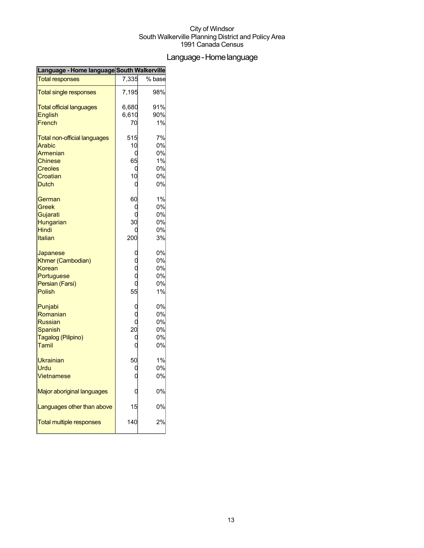## Language-Homelanguage

| Language - Home language South Walkerville |       |        |
|--------------------------------------------|-------|--------|
| <b>Total responses</b>                     | 7,335 | % base |
| <b>Total single responses</b>              | 7,195 | 98%    |
| <b>Total official languages</b>            | 6,680 | 91%    |
| <b>English</b>                             | 6,610 | 90%    |
| French                                     | 70    | 1%     |
| <b>Total non-official languages</b>        | 515   | 7%     |
| <b>Arabic</b>                              | 10    | 0%     |
| Armenian                                   | C     | 0%     |
| <b>Chinese</b>                             | 65    | 1%     |
| <b>Creoles</b>                             | U     | 0%     |
| Croatian                                   | 10    | 0%     |
| <b>Dutch</b>                               | О     | 0%     |
| German                                     | 60    | 1%     |
| Greek                                      | C     | 0%     |
| Gujarati                                   | C     | 0%     |
| Hungarian                                  | 30    | 0%     |
| <b>Hindi</b>                               |       | 0%     |
| Italian                                    | 200   | 3%     |
| Japanese                                   |       | 0%     |
| Khmer (Cambodian)                          |       | 0%     |
| Korean                                     |       | 0%     |
| Portuguese                                 | Ċ     | 0%     |
| Persian (Farsi)                            | Ó     | 0%     |
| Polish                                     | 55    | 1%     |
| Punjabi                                    | C     | 0%     |
| Romanian                                   |       | 0%     |
| <b>Russian</b>                             | C     | 0%     |
| <b>Spanish</b>                             | 20    | 0%     |
| Tagalog (Pilipino)                         | C     | 0%     |
| Tamil                                      | O     | 0%     |
| Ukrainian                                  | 50    | 1%     |
| Urdu                                       | U     | 0%     |
| <b>Vietnamese</b>                          |       | 0%     |
| Major aboriginal languages                 |       | 0%     |
| Languages other than above                 | 15    | 0%     |
| <b>Total multiple responses</b>            | 140   | 2%     |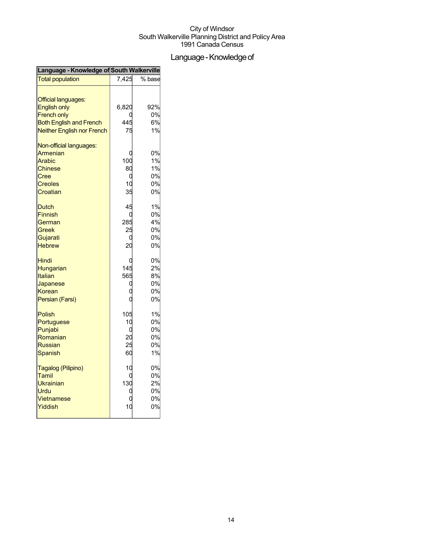## Language - Knowledge of

| Language - Knowledge of South Walkerville         |                 |        |  |
|---------------------------------------------------|-----------------|--------|--|
| <b>Total population</b>                           | 7,425           | % base |  |
| <b>Official languages:</b><br><b>English only</b> | 6,820           | 92%    |  |
| <b>French only</b>                                |                 | 0%     |  |
| <b>Both English and French</b>                    | 445             | 6%     |  |
|                                                   | 75              | 1%     |  |
| <b>Neither English nor French</b>                 |                 |        |  |
| Non-official languages:                           |                 |        |  |
| Armenian                                          |                 | 0%     |  |
| Arabic                                            | 10 <sup>c</sup> | 1%     |  |
| <b>Chinese</b>                                    | 80              | 1%     |  |
| Cree                                              | C               | 0%     |  |
| <b>Creoles</b>                                    | 10              | 0%     |  |
| Croatian                                          | 35              | 0%     |  |
| <b>Dutch</b>                                      | 45              | 1%     |  |
| <b>Finnish</b>                                    |                 | 0%     |  |
| German                                            | 285             | 4%     |  |
| Greek                                             | 25              | 0%     |  |
| Gujarati                                          |                 | 0%     |  |
| <b>Hebrew</b>                                     | 20              | 0%     |  |
|                                                   |                 |        |  |
| Hindi                                             |                 | 0%     |  |
| Hungarian                                         | 145             | 2%     |  |
| Italian                                           | 565             | 8%     |  |
| Japanese                                          | C               | 0%     |  |
| Korean                                            |                 | 0%     |  |
| Persian (Farsi)                                   |                 | 0%     |  |
|                                                   |                 | 1%     |  |
| <b>Polish</b>                                     | 105             |        |  |
| Portuguese                                        | 10              | 0%     |  |
| Punjabi                                           | C               | 0%     |  |
| Romanian                                          | 20              | 0%     |  |
| <b>Russian</b>                                    | 25              | 0%     |  |
| Spanish                                           | 60              | 1%     |  |
| Tagalog (Pilipino)                                | 10              | 0%     |  |
| Tamil                                             |                 | 0%     |  |
| <b>Ukrainian</b>                                  | 130             | 2%     |  |
| Urdu                                              |                 | 0%     |  |
| Vietnamese                                        |                 | 0%     |  |
| Yiddish                                           | 10              | 0%     |  |
|                                                   |                 |        |  |
|                                                   |                 |        |  |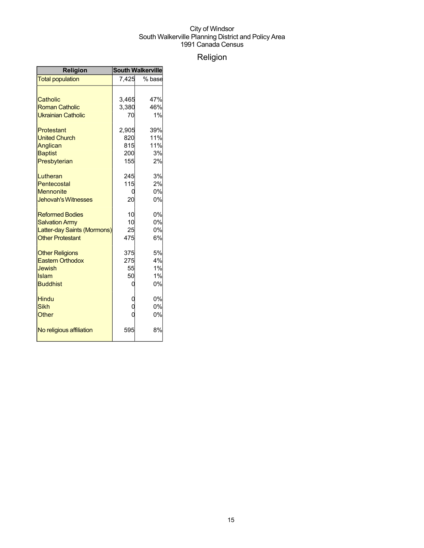## Religion

| <b>Religion</b>             | <b>South Walkerville</b> |        |  |
|-----------------------------|--------------------------|--------|--|
| <b>Total population</b>     | 7,425                    | % base |  |
|                             |                          |        |  |
| Catholic                    | 3,465                    | 47%    |  |
| <b>Roman Catholic</b>       | 3,380                    | 46%    |  |
| <b>Ukrainian Catholic</b>   | 70                       | 1%     |  |
| Protestant                  | 2,905                    | 39%    |  |
| <b>United Church</b>        | 820                      | 11%    |  |
| Anglican                    | 815                      | 11%    |  |
| <b>Baptist</b>              | 200                      | 3%     |  |
| Presbyterian                | 155                      | 2%     |  |
| Lutheran                    | 245                      | 3%     |  |
| Pentecostal                 | 115                      | 2%     |  |
| <b>Mennonite</b>            | 0                        | 0%     |  |
| <b>Jehovah's Witnesses</b>  | 20                       | 0%     |  |
| <b>Reformed Bodies</b>      | 10                       | 0%     |  |
| <b>Salvation Army</b>       | 10                       | 0%     |  |
| Latter-day Saints (Mormons) | 25                       | 0%     |  |
| <b>Other Protestant</b>     | 475                      | 6%     |  |
| <b>Other Religions</b>      | 375                      | 5%     |  |
| <b>Eastern Orthodox</b>     | 275                      | 4%     |  |
| <b>Jewish</b>               | 55                       | 1%     |  |
| Islam                       | 50                       | 1%     |  |
| <b>Buddhist</b>             | 0                        | 0%     |  |
| <b>Hindu</b>                |                          | 0%     |  |
| <b>Sikh</b>                 |                          | 0%     |  |
| Other                       |                          | 0%     |  |
| No religious affiliation    | 595                      | 8%     |  |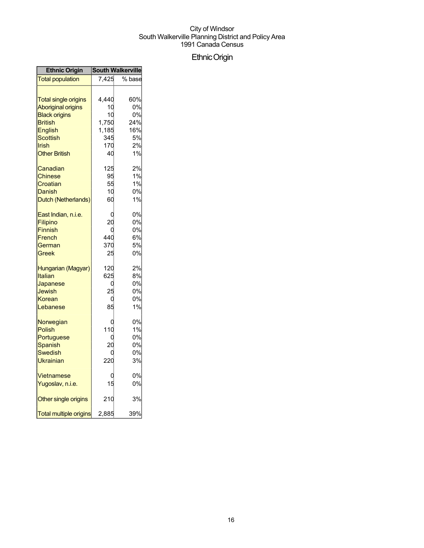## EthnicOrigin

| <b>Ethnic Origin</b>                                                           | <b>South Walkerville</b>         |                                  |
|--------------------------------------------------------------------------------|----------------------------------|----------------------------------|
| <b>Total population</b>                                                        | 7,425                            | % base                           |
| <b>Total single origins</b><br><b>Aboriginal origins</b>                       | 4,440<br>10                      | 60%<br>0%                        |
| <b>Black origins</b><br><b>British</b><br>English                              | 10<br>1,750<br>1,185             | 0%<br>24%<br>16%                 |
| Scottish<br>Irish<br><b>Other British</b>                                      | 345<br>170<br>40                 | 5%<br>2%<br>1%                   |
| Canadian<br>Chinese<br>Croatian<br>Danish<br>Dutch (Netherlands)               | 125<br>95<br>55<br>10<br>60      | 2%<br>1%<br>1%<br>0%<br>1%       |
| East Indian, n.i.e.<br>Filipino<br><b>Finnish</b><br>French<br>German<br>Greek | C<br>20<br>C<br>440<br>370<br>25 | 0%<br>0%<br>0%<br>6%<br>5%<br>0% |
| Hungarian (Magyar)<br>Italian<br>Japanese<br>Jewish<br>Korean<br>Lebanese      | 120<br>625<br>25<br>C<br>85      | 2%<br>8%<br>0%<br>0%<br>0%<br>1% |
| Norwegian<br><b>Polish</b><br>Portuguese<br>Spanish<br>Swedish<br>Ukrainian    | 110<br>C<br>20<br>220            | 0%<br>1%<br>0%<br>0%<br>0%<br>3% |
| Vietnamese<br>Yugoslav, n.i.e.                                                 | 15                               | 0%<br>0%                         |
| Other single origins                                                           | 210                              | 3%                               |
| <b>Total multiple origins</b>                                                  | 2,885                            | 39%                              |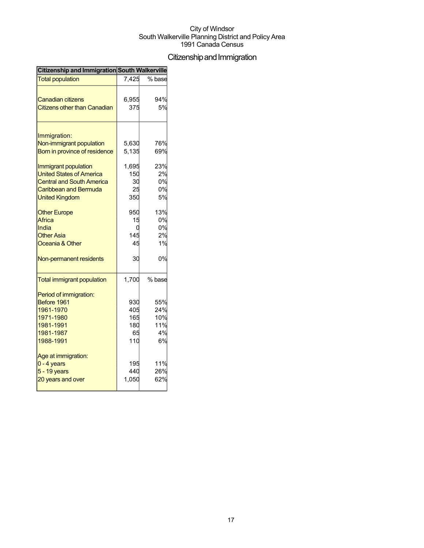## Citizenship and Immigration

| <b>Citizenship and Immigration South Walkerville</b>                                                                                          |                                       |                                      |
|-----------------------------------------------------------------------------------------------------------------------------------------------|---------------------------------------|--------------------------------------|
| <b>Total population</b>                                                                                                                       | 7,425                                 | % base                               |
| Canadian citizens<br><b>Citizens other than Canadian</b>                                                                                      | 6,955<br>375                          | 94%<br>5%                            |
| Immigration:<br>Non-immigrant population<br>Born in province of residence                                                                     | 5,630<br>5,135                        | 76%<br>69%                           |
| Immigrant population<br><b>United States of America</b><br><b>Central and South America</b><br>Caribbean and Bermuda<br><b>United Kingdom</b> | 1,695<br>150<br>30<br>25<br>350       | 23%<br>2%<br>0%<br>0%<br>5%          |
| <b>Other Europe</b><br>Africa<br>India<br><b>Other Asia</b><br>Oceania & Other                                                                | 950<br>15<br>C<br>145<br>45           | 13%<br>0%<br>0%<br>2%<br>1%          |
| Non-permanent residents                                                                                                                       | 30                                    | 0%                                   |
| <b>Total immigrant population</b>                                                                                                             | 1,700                                 | % base                               |
| Period of immigration:<br>Before 1961<br>1961-1970<br>1971-1980<br>1981-1991<br>1981-1987<br>1988-1991                                        | 930<br>405<br>165<br>180<br>65<br>110 | 55%<br>24%<br>10%<br>11%<br>4%<br>6% |
| Age at immigration:<br>$0 - 4$ years<br>5 - 19 years<br>20 years and over                                                                     | 195<br>440<br>1,050                   | 11%<br>26%<br>62%                    |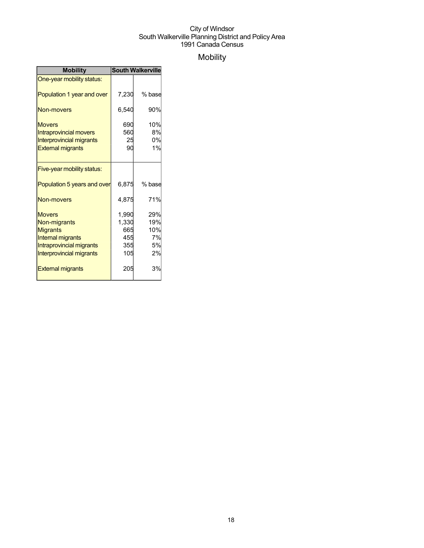## Mobility

| <b>Mobility</b>                                                                                                                             | <b>South Walkerville</b>                   |                                     |  |
|---------------------------------------------------------------------------------------------------------------------------------------------|--------------------------------------------|-------------------------------------|--|
| One-year mobility status:                                                                                                                   |                                            |                                     |  |
| Population 1 year and over                                                                                                                  | 7,230                                      | % base                              |  |
| Non-movers                                                                                                                                  | 6,540                                      | 90%                                 |  |
| <b>Movers</b><br><b>Intraprovincial movers</b><br><b>Interprovincial migrants</b><br><b>External migrants</b>                               | 690<br>560<br>25<br>90                     | 10%<br>8%<br>0%<br>1%               |  |
| Five-year mobility status:                                                                                                                  |                                            |                                     |  |
| Population 5 years and over                                                                                                                 | 6,875                                      | % base                              |  |
| Non-movers                                                                                                                                  | 4,875                                      | 71%                                 |  |
| <b>Movers</b><br>Non-migrants<br><b>Migrants</b><br><b>Internal migrants</b><br>Intraprovincial migrants<br><b>Interprovincial migrants</b> | 1,990<br>1,330<br>665<br>455<br>355<br>105 | 29%<br>19%<br>10%<br>7%<br>5%<br>2% |  |
| <b>External migrants</b>                                                                                                                    | 205                                        | 3%                                  |  |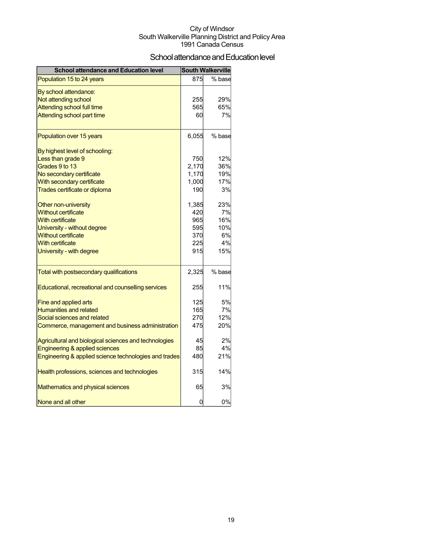## School attendance and Education level

| <b>School attendance and Education level</b>          |       | <b>South Walkerville</b> |
|-------------------------------------------------------|-------|--------------------------|
| Population 15 to 24 years                             | 875   | % base                   |
| By school attendance:                                 |       |                          |
| Not attending school                                  | 255   | 29%                      |
| <b>Attending school full time</b>                     | 565   | 65%                      |
| Attending school part time                            | 60    | 7%                       |
| Population over 15 years                              | 6,055 | % base                   |
| By highest level of schooling:                        |       |                          |
| Less than grade 9                                     | 750   | 12%                      |
| Grades 9 to 13                                        | 2,170 | 36%                      |
| No secondary certificate                              | 1,170 | 19%                      |
| With secondary certificate                            | 1,000 | 17%                      |
| Trades certificate or diploma                         | 190   | 3%                       |
| Other non-university                                  | 1,385 | 23%                      |
| <b>Without certificate</b>                            | 420   | 7%                       |
| <b>With certificate</b>                               | 965   | 16%                      |
| University - without degree                           | 595   | 10%                      |
| <b>Without certificate</b>                            | 370   | 6%                       |
| <b>With certificate</b>                               | 225   | 4%                       |
| University - with degree                              | 915   | 15%                      |
| Total with postsecondary qualifications               | 2,325 | % base                   |
| Educational, recreational and counselling services    | 255   | 11%                      |
| Fine and applied arts                                 | 125   | 5%                       |
| <b>Humanities and related</b>                         | 165   | 7%                       |
| Social sciences and related                           | 270   | 12%                      |
| Commerce, management and business administration      | 475   | 20%                      |
| Agricultural and biological sciences and technologies | 45    | 2%                       |
| Engineering & applied sciences                        | 85    | 4%                       |
| Engineering & applied science technologies and trades | 480   | 21%                      |
| Health professions, sciences and technologies         | 315   | 14%                      |
| Mathematics and physical sciences                     | 65    | 3%                       |
| None and all other                                    | 0     | 0%                       |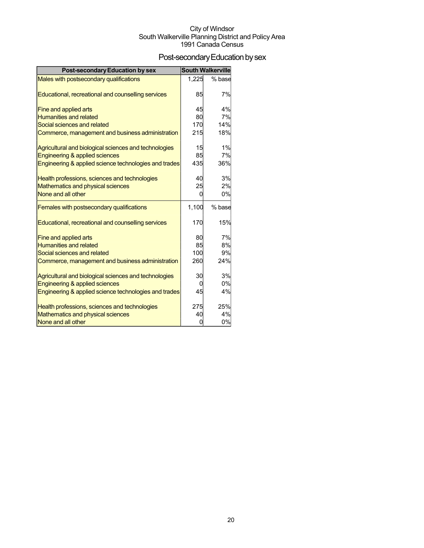## Post-secondary Education by sex

| <b>Post-secondary Education by sex</b>                | <b>South Walkerville</b> |        |
|-------------------------------------------------------|--------------------------|--------|
| Males with postsecondary qualifications               | 1,225                    | % base |
| Educational, recreational and counselling services    | 85                       | 7%     |
| Fine and applied arts                                 | 45                       | 4%     |
| <b>Humanities and related</b>                         | 80                       | 7%     |
| Social sciences and related                           | 170                      | 14%    |
| Commerce, management and business administration      | 215                      | 18%    |
| Agricultural and biological sciences and technologies | 15                       | 1%     |
| Engineering & applied sciences                        | 85                       | 7%     |
| Engineering & applied science technologies and trades | 435                      | 36%    |
| Health professions, sciences and technologies         | 40                       | 3%     |
| Mathematics and physical sciences                     | 25                       | 2%     |
| None and all other                                    | 0                        | 0%     |
| Females with postsecondary qualifications             | 1,100                    | % base |
| Educational, recreational and counselling services    | 170                      | 15%    |
| Fine and applied arts                                 | 80                       | 7%     |
| <b>Humanities and related</b>                         | 85                       | 8%     |
| Social sciences and related                           | 100                      | 9%     |
| Commerce, management and business administration      | 260                      | 24%    |
| Agricultural and biological sciences and technologies | 30                       | 3%     |
| Engineering & applied sciences                        | O                        | 0%     |
| Engineering & applied science technologies and trades | 45                       | 4%     |
| Health professions, sciences and technologies         | 275                      | 25%    |
| Mathematics and physical sciences                     | 40                       | 4%     |
| None and all other                                    | 0                        | 0%     |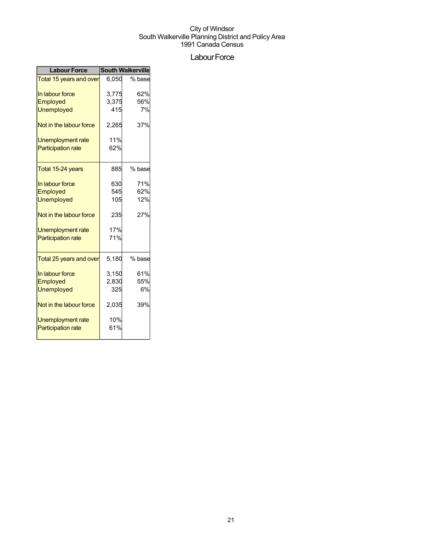## Labour Force

| <b>Labour Force</b>       | <b>South Walkerville</b> |        |  |
|---------------------------|--------------------------|--------|--|
| Total 15 years and over   | 6,050                    | % base |  |
| In labour force           | 3,775                    | 62%    |  |
| Employed                  | 3,375                    | 56%    |  |
| <b>Unemployed</b>         | 415                      | 7%     |  |
| Not in the labour force   | 2,265                    | 37%    |  |
| Unemployment rate         | 11%                      |        |  |
| <b>Participation rate</b> | 62%                      |        |  |
|                           |                          |        |  |
| Total 15-24 years         | 885                      | % base |  |
| In labour force           | 630                      | 71%    |  |
| Employed                  | 545                      | 62%    |  |
| <b>Unemployed</b>         | 105                      | 12%    |  |
| Not in the labour force   | 235                      | 27%    |  |
| Unemployment rate         | 17%                      |        |  |
| <b>Participation rate</b> | 71%                      |        |  |
|                           |                          |        |  |
| Total 25 years and over   | 5,180                    | % base |  |
| In labour force           | 3,150                    | 61%    |  |
| Employed                  | 2,830                    | 55%    |  |
| Unemployed                | 325                      | 6%     |  |
| Not in the labour force   | 2,035                    | 39%    |  |
| Unemployment rate         | 10%                      |        |  |
| <b>Participation rate</b> | 61%                      |        |  |
|                           |                          |        |  |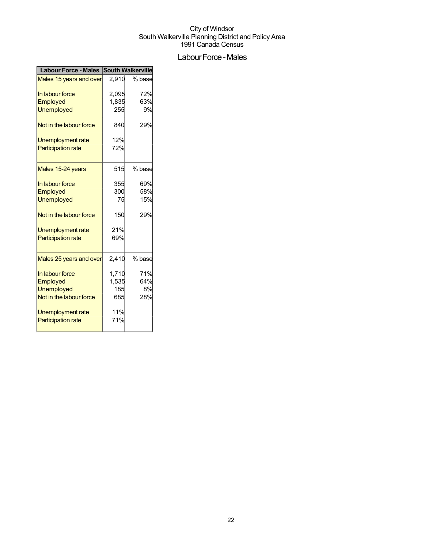## Labour Force - Males

| Labour Force - Males South Walkerville |       |        |  |
|----------------------------------------|-------|--------|--|
| Males 15 years and over                | 2,910 | % base |  |
| In labour force                        | 2,095 | 72%    |  |
| Employed                               | 1,835 | 63%    |  |
| <b>Unemployed</b>                      | 255   | 9%     |  |
| Not in the labour force                | 840   | 29%    |  |
| Unemployment rate                      | 12%   |        |  |
| <b>Participation rate</b>              | 72%   |        |  |
| Males 15-24 years                      | 515   | % base |  |
| In labour force                        | 355   | 69%    |  |
| Employed                               | 300   | 58%    |  |
| <b>Unemployed</b>                      | 75    | 15%    |  |
| Not in the labour force                | 150   | 29%    |  |
| Unemployment rate                      | 21%   |        |  |
| <b>Participation rate</b>              | 69%   |        |  |
| Males 25 years and over                | 2,410 | % base |  |
| In labour force                        | 1,710 | 71%    |  |
| Employed                               | 1,535 | 64%    |  |
| <b>Unemployed</b>                      | 185   | 8%     |  |
| Not in the labour force                | 685   | 28%    |  |
| Unemployment rate                      | 11%   |        |  |
| <b>Participation rate</b>              | 71%   |        |  |
|                                        |       |        |  |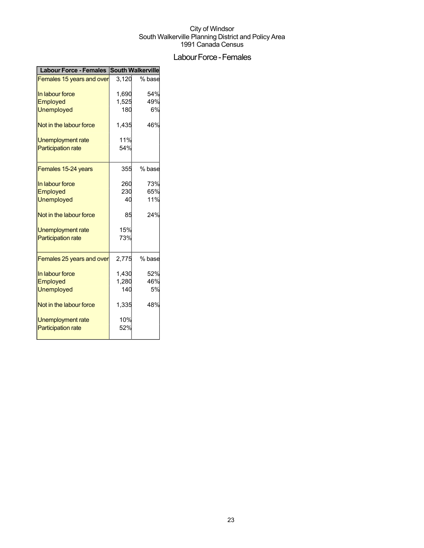## Labour Force - Females

| <b>Labour Force - Females</b>    | <b>South Walkerville</b> |        |  |
|----------------------------------|--------------------------|--------|--|
| <b>Females 15 years and over</b> | 3,120                    | % base |  |
| In labour force                  | 1,690                    | 54%    |  |
| Employed                         | 1,525                    | 49%    |  |
| <b>Unemployed</b>                | 180                      | 6%     |  |
| Not in the labour force          | 1,435                    | 46%    |  |
| Unemployment rate                | 11%                      |        |  |
| <b>Participation rate</b>        | 54%                      |        |  |
| Females 15-24 years              | 355                      | % base |  |
| In labour force                  | 260                      | 73%    |  |
| Employed                         | 230                      | 65%    |  |
| <b>Unemployed</b>                | 40                       | 11%    |  |
| Not in the labour force          | 85                       | 24%    |  |
| Unemployment rate                | 15%                      |        |  |
| <b>Participation rate</b>        | 73%                      |        |  |
| Females 25 years and over        | 2,775                    | % base |  |
| In labour force                  | 1,430                    | 52%    |  |
| Employed                         | 1,280                    | 46%    |  |
| <b>Unemployed</b>                | 140                      | 5%     |  |
| Not in the labour force          | 1,335                    | 48%    |  |
| <b>Unemployment rate</b>         | 10%                      |        |  |
| <b>Participation rate</b>        | 52%                      |        |  |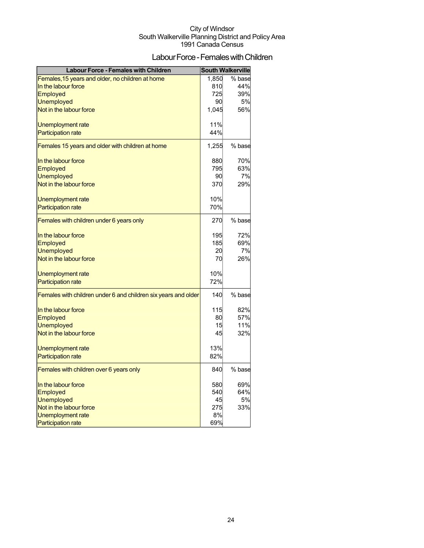## Labour Force - Females with Children

| <b>Labour Force - Females with Children</b>                    |       | <b>South Walkerville</b> |
|----------------------------------------------------------------|-------|--------------------------|
| Females, 15 years and older, no children at home               | 1,850 | % base                   |
| In the labour force                                            | 810   | 44%                      |
| Employed                                                       | 725   | 39%                      |
| <b>Unemployed</b>                                              | 90    | <b>5%</b>                |
| Not in the labour force                                        | 1,045 | 56%                      |
| Unemployment rate                                              | 11%   |                          |
| <b>Participation rate</b>                                      | 44%   |                          |
| Females 15 years and older with children at home               | 1,255 | % base                   |
| In the labour force                                            | 880   | 70%                      |
| Employed                                                       | 795   | 63%                      |
| <b>Unemployed</b>                                              | 90    | 7%                       |
| Not in the labour force                                        | 370   | 29%                      |
| Unemployment rate                                              | 10%   |                          |
| <b>Participation rate</b>                                      | 70%   |                          |
| Females with children under 6 years only                       | 270   | % base                   |
| In the labour force                                            | 195   | 72%                      |
| Employed                                                       | 185   | 69%                      |
| <b>Unemployed</b>                                              | 20    | 7%                       |
| Not in the labour force                                        | 70    | 26%                      |
| Unemployment rate                                              | 10%   |                          |
| <b>Participation rate</b>                                      | 72%   |                          |
| Females with children under 6 and children six years and older | 140   | % base                   |
| In the labour force                                            | 115   | 82%                      |
| Employed                                                       | 80    | 57%                      |
| <b>Unemployed</b>                                              | 15    | 11%                      |
| Not in the labour force                                        | 45    | 32%                      |
| Unemployment rate                                              | 13%   |                          |
| <b>Participation rate</b>                                      | 82%   |                          |
| Females with children over 6 years only                        | 840   | % base                   |
| In the labour force                                            | 580   | 69%                      |
| Employed                                                       | 540   | 64%                      |
| <b>Unemployed</b>                                              | 45    | 5%                       |
| Not in the labour force                                        | 275   | 33%                      |
| <b>Unemployment rate</b>                                       | 8%    |                          |
| <b>Participation rate</b>                                      | 69%   |                          |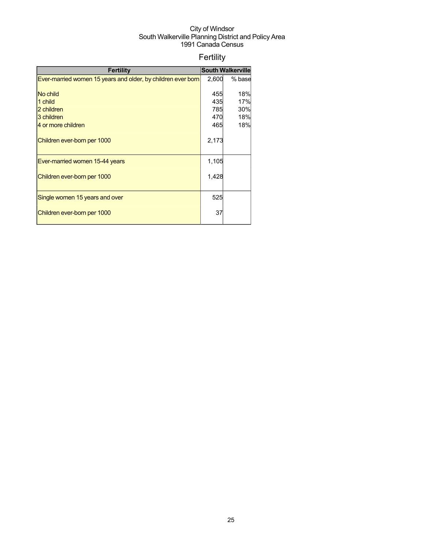## Fertility

| <b>Fertility</b>                                             |       | <b>South Walkerville</b> |
|--------------------------------------------------------------|-------|--------------------------|
| Ever-married women 15 years and older, by children ever born | 2,600 | % base                   |
|                                                              |       |                          |
| No child                                                     | 455   | 18%                      |
| 1 child                                                      | 435   | 17%                      |
| 2 children                                                   | 785   | 30%                      |
| 3 children                                                   | 470   | 18%                      |
| 4 or more children                                           | 465   | 18%                      |
|                                                              |       |                          |
| Children ever-born per 1000                                  | 2,173 |                          |
|                                                              |       |                          |
| Ever-married women 15-44 years                               | 1,105 |                          |
|                                                              |       |                          |
| Children ever-born per 1000                                  | 1,428 |                          |
|                                                              |       |                          |
| Single women 15 years and over                               | 525   |                          |
|                                                              |       |                          |
| Children ever-born per 1000                                  | 37    |                          |
|                                                              |       |                          |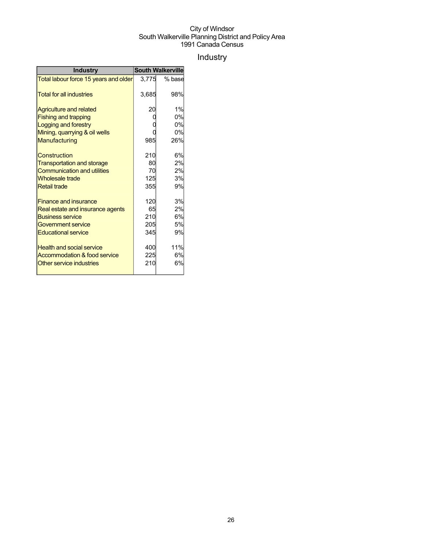## Industry

| <b>Industry</b>                       | <b>South Walkerville</b> |        |  |
|---------------------------------------|--------------------------|--------|--|
| Total labour force 15 years and older | 3.775                    | % base |  |
| <b>Total for all industries</b>       | 3,685                    | 98%    |  |
| <b>Agriculture and related</b>        | 20                       | 1%     |  |
| <b>Fishing and trapping</b>           |                          | 0%     |  |
| Logging and forestry                  |                          | 0%     |  |
| Mining, quarrying & oil wells         |                          | 0%     |  |
| Manufacturing                         | 985                      | 26%    |  |
| <b>Construction</b>                   | 210                      | 6%     |  |
| <b>Transportation and storage</b>     | 80                       | 2%     |  |
| <b>Communication and utilities</b>    | 70                       | 2%     |  |
| <b>Wholesale trade</b>                | 125                      | 3%     |  |
| <b>Retail trade</b>                   | 355                      | 9%     |  |
| <b>Finance and insurance</b>          | 120                      | 3%     |  |
| Real estate and insurance agents      | 65                       | 2%     |  |
| <b>Business service</b>               | 210                      | 6%     |  |
| Government service                    | 205                      | 5%     |  |
| <b>Educational service</b>            | 345                      | 9%     |  |
| <b>Health and social service</b>      | 400                      | 11%    |  |
| Accommodation & food service          | 225                      | 6%     |  |
| Other service industries              | 210                      | 6%     |  |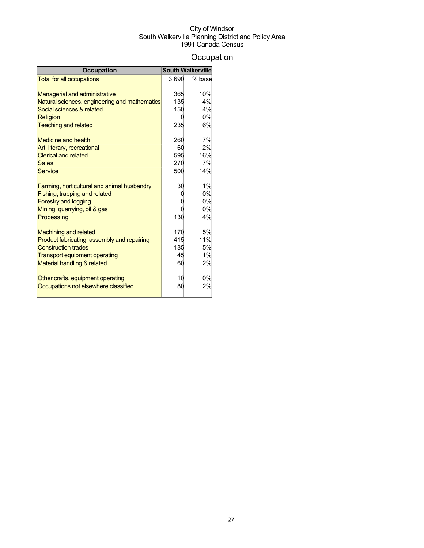## **Occupation**

| <b>Occupation</b>                             | <b>South Walkerville</b> |           |
|-----------------------------------------------|--------------------------|-----------|
| <b>Total for all occupations</b>              | 3,690                    | % base    |
|                                               |                          |           |
| <b>Managerial and administrative</b>          | 365                      | 10%       |
| Natural sciences, engineering and mathematics | 135                      | 4%        |
| Social sciences & related                     | 150                      | 4%        |
| Religion                                      |                          | 0%        |
| <b>Teaching and related</b>                   | 235                      | 6%        |
| <b>Medicine and health</b>                    | 260                      | 7%        |
| Art, literary, recreational                   | 60                       | 2%        |
| <b>Clerical and related</b>                   | 595                      | 16%       |
| <b>Sales</b>                                  | 270                      | 7%        |
| <b>Service</b>                                | 500                      | 14%       |
| Farming, horticultural and animal husbandry   | 30                       | 1%        |
| Fishing, trapping and related                 |                          | 0%        |
| <b>Forestry and logging</b>                   |                          | 0%        |
| Mining, quarrying, oil & gas                  |                          | 0%        |
| Processing                                    | 130                      | 4%        |
| <b>Machining and related</b>                  | 170                      | <b>5%</b> |
| Product fabricating, assembly and repairing   | 415                      | 11%       |
| <b>Construction trades</b>                    | 185                      | <b>5%</b> |
| <b>Transport equipment operating</b>          | 45                       | 1%        |
| Material handling & related                   | 60                       | 2%        |
| Other crafts, equipment operating             | 10                       | 0%        |
| Occupations not elsewhere classified          | 80                       | 2%        |
|                                               |                          |           |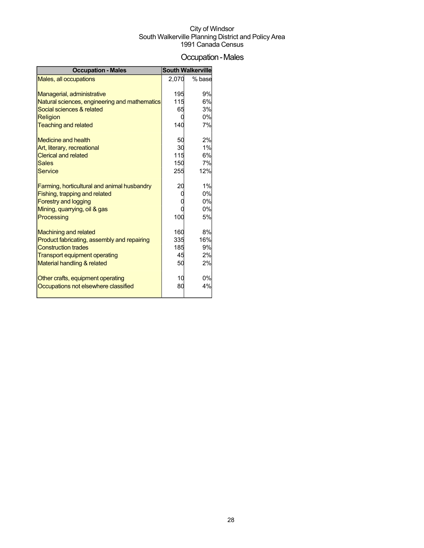## Occupation-Males

| <b>Occupation - Males</b>                     |                 | <b>South Walkerville</b> |
|-----------------------------------------------|-----------------|--------------------------|
| Males, all occupations                        | 2,070           | % base                   |
|                                               |                 |                          |
| Managerial, administrative                    | 195             | 9%                       |
| Natural sciences, engineering and mathematics | 115             | 6%                       |
| Social sciences & related                     | 65              | 3%                       |
| Religion                                      |                 | 0%                       |
| <b>Teaching and related</b>                   | 140             | 7%                       |
|                                               |                 |                          |
| <b>Medicine and health</b>                    | 50              | 2%                       |
| Art, literary, recreational                   | 30              | 1%                       |
| <b>Clerical and related</b>                   | 115             | 6%                       |
| <b>Sales</b>                                  | 150             | 7%                       |
| <b>Service</b>                                | 255             | 12%                      |
| Farming, horticultural and animal husbandry   | 20              | 1%                       |
| Fishing, trapping and related                 |                 | 0%                       |
| <b>Forestry and logging</b>                   |                 | 0%                       |
| Mining, quarrying, oil & gas                  |                 | 0%                       |
| Processing                                    | 10 <sub>C</sub> | 5%                       |
|                                               |                 |                          |
| <b>Machining and related</b>                  | 160             | 8%                       |
| Product fabricating, assembly and repairing   | 335             | 16%                      |
| <b>Construction trades</b>                    | 185             | 9%                       |
| Transport equipment operating                 | 45              | 2%                       |
| Material handling & related                   | 50              | 2%                       |
| Other crafts, equipment operating             | 10              | 0%                       |
| Occupations not elsewhere classified          | 80              | 4%                       |
|                                               |                 |                          |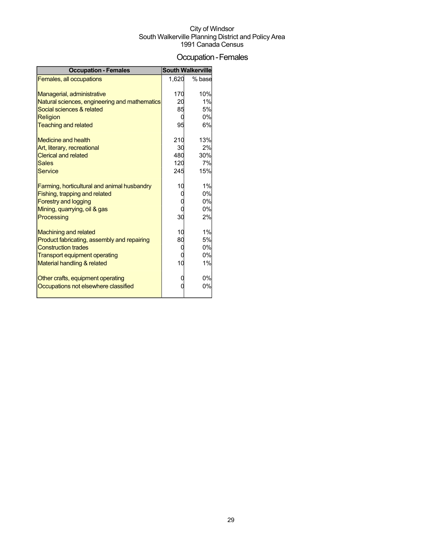## Occupation-Females

| <b>Occupation - Females</b>                                |                | <b>South Walkerville</b> |
|------------------------------------------------------------|----------------|--------------------------|
| Females, all occupations                                   | 1.620          | % base                   |
|                                                            |                |                          |
| Managerial, administrative                                 | 170            | 10%                      |
| Natural sciences, engineering and mathematics              | 20             | 1%                       |
| Social sciences & related                                  | 85             | <b>5%</b>                |
| Religion                                                   |                | 0%                       |
| <b>Teaching and related</b>                                | 95             | 6%                       |
|                                                            |                |                          |
| <b>Medicine and health</b>                                 | 210<br>30      | 13%<br>2%                |
| Art, literary, recreational<br><b>Clerical and related</b> | 480            | 30%                      |
| <b>Sales</b>                                               | 120            | 7%                       |
| <b>Service</b>                                             | 245            | 15%                      |
|                                                            |                |                          |
| Farming, horticultural and animal husbandry                | 1 <sup>C</sup> | 1%                       |
| Fishing, trapping and related                              |                | 0%                       |
| <b>Forestry and logging</b>                                |                | 0%                       |
| Mining, quarrying, oil & gas                               |                | 0%                       |
| Processing                                                 | 3 <sup>c</sup> | 2%                       |
|                                                            |                |                          |
| <b>Machining and related</b>                               | 10             | 1%                       |
| Product fabricating, assembly and repairing                | 80             | <b>5%</b>                |
| <b>Construction trades</b>                                 |                | 0%                       |
| <b>Transport equipment operating</b>                       |                | 0%                       |
| Material handling & related                                | 10             | 1%                       |
|                                                            |                |                          |
| Other crafts, equipment operating                          |                | 0%                       |
| Occupations not elsewhere classified                       |                | 0%                       |
|                                                            |                |                          |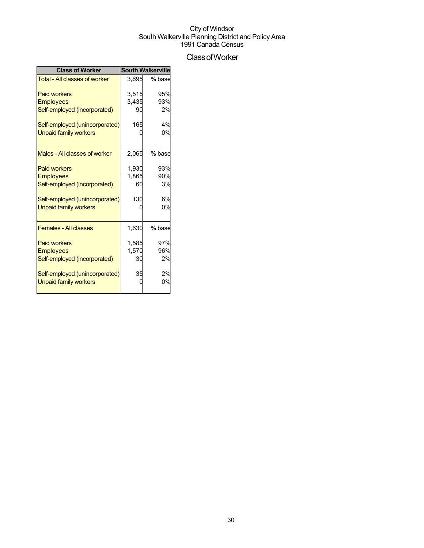### ClassofWorker

| <b>Class of Worker</b>               |       | <b>South Walkerville</b> |
|--------------------------------------|-------|--------------------------|
| <b>Total - All classes of worker</b> | 3,695 | % base                   |
| <b>Paid workers</b>                  | 3,515 | 95%                      |
| <b>Employees</b>                     | 3,435 | 93%                      |
| Self-employed (incorporated)         | 90    | 2%                       |
| Self-employed (unincorporated)       | 165   | 4%                       |
| Unpaid family workers                |       | 0%                       |
| Males - All classes of worker        | 2,065 | % base                   |
| <b>Paid workers</b>                  | 1,930 | 93%                      |
| <b>Employees</b>                     | 1,865 | 90%                      |
| Self-employed (incorporated)         | 60    | 3%                       |
| Self-employed (unincorporated)       | 130   | 6%                       |
| <b>Unpaid family workers</b>         |       | 0%                       |
| <b>Females - All classes</b>         | 1,630 | % base                   |
| <b>Paid workers</b>                  | 1,585 | 97%                      |
| <b>Employees</b>                     | 1,570 | 96%                      |
| Self-employed (incorporated)         | 30    | 2%                       |
| Self-employed (unincorporated)       | 35    | 2%                       |
| <b>Unpaid family workers</b>         |       | 0%                       |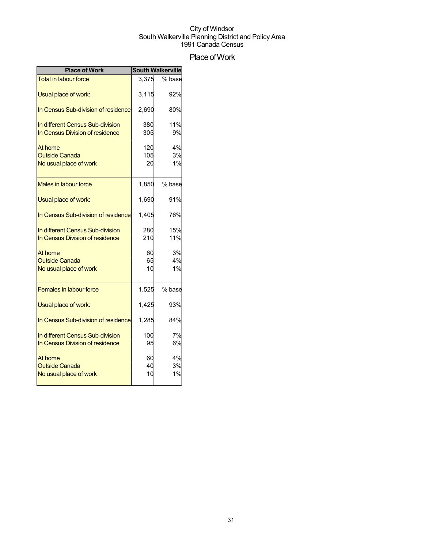## Place of Work

| <b>Place of Work</b>                                                | <b>South Walkerville</b> |                |  |
|---------------------------------------------------------------------|--------------------------|----------------|--|
| <b>Total in labour force</b>                                        | 3.375                    | % base         |  |
| Usual place of work:                                                | 3,115                    | 92%            |  |
| In Census Sub-division of residence                                 | 2,690                    | 80%            |  |
| In different Census Sub-division<br>In Census Division of residence | 380<br>305               | 11%<br>9%      |  |
| At home<br><b>Outside Canada</b><br>No usual place of work          | 120<br>105<br>20         | 4%<br>3%<br>1% |  |
| <b>Males in labour force</b>                                        | 1,850                    | % base         |  |
| Usual place of work:                                                | 1,690                    | 91%            |  |
| In Census Sub-division of residence                                 | 1.405                    | 76%            |  |
| In different Census Sub-division<br>In Census Division of residence | 280<br>210               | 15%<br>11%     |  |
| At home<br><b>Outside Canada</b><br>No usual place of work          | 60<br>65<br>10           | 3%<br>4%<br>1% |  |
| <b>Females in labour force</b>                                      | 1,525                    | % base         |  |
| Usual place of work:                                                | 1,425                    | 93%            |  |
| In Census Sub-division of residence                                 | 1,285                    | 84%            |  |
| In different Census Sub-division<br>In Census Division of residence | 100<br>95                | 7%<br>6%       |  |
| At home<br><b>Outside Canada</b><br>No usual place of work          | 60<br>40<br>10           | 4%<br>3%<br>1% |  |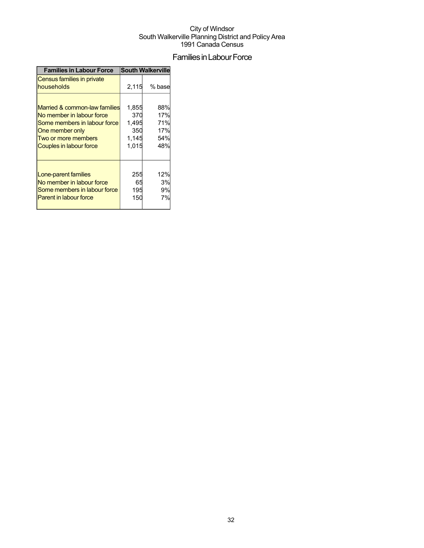## Families in Labour Force

| <b>Families in Labour Force</b>          | <b>South Walkerville</b> |        |  |
|------------------------------------------|--------------------------|--------|--|
| Census families in private<br>households | 2,115                    | % base |  |
| Married & common-law families            | 1,855                    | 88%    |  |
| No member in labour force                | 370                      | 17%    |  |
| Some members in labour force             | 1,495                    | 71%    |  |
| One member only                          | 350                      | 17%    |  |
| Two or more members                      | 1,145                    | 54%    |  |
| Couples in labour force                  | 1,015                    | 48%    |  |
| Lone-parent families                     | 255                      | 12%    |  |
| No member in labour force                | 65                       | 3%     |  |
| Some members in labour force             | 195                      | 9%     |  |
| <b>Parent in labour force</b>            | 150                      | 7%     |  |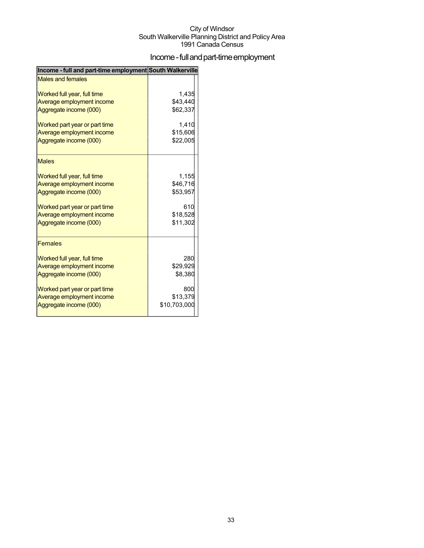## Income - full and part-time employment

| Income - full and part-time employment South Walkerville |              |
|----------------------------------------------------------|--------------|
| <b>Males and females</b>                                 |              |
| Worked full year, full time                              | 1,435        |
| Average employment income                                | \$43,440     |
| Aggregate income (000)                                   | \$62,337     |
| Worked part year or part time                            | 1,410        |
| Average employment income                                | \$15,606     |
| Aggregate income (000)                                   | \$22,005     |
| <b>Males</b>                                             |              |
| Worked full year, full time                              | 1,155        |
| Average employment income                                | \$46,716     |
| Aggregate income (000)                                   | \$53,957     |
| Worked part year or part time                            | 610          |
| Average employment income                                | \$18,528     |
| Aggregate income (000)                                   | \$11,302     |
|                                                          |              |
| <b>Females</b>                                           |              |
| Worked full year, full time                              | 280          |
| Average employment income                                | \$29,929     |
| Aggregate income (000)                                   | \$8,380      |
| Worked part year or part time                            | 800          |
| Average employment income                                | \$13,379     |
| Aggregate income (000)                                   | \$10,703,000 |
|                                                          |              |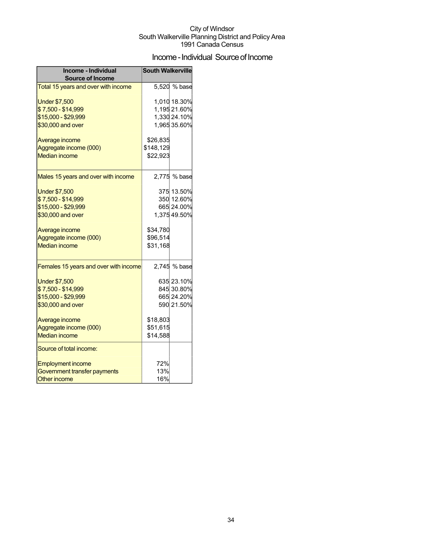## Income - Individual Source of Income

| Income - Individual<br><b>Source of Income</b> | <b>South Walkerville</b> |              |
|------------------------------------------------|--------------------------|--------------|
| Total 15 years and over with income            |                          | 5,520 % base |
| <b>Under \$7,500</b>                           |                          | 1,010 18.30% |
| \$7,500 - \$14,999                             |                          | 1,195 21.60% |
| \$15,000 - \$29,999                            |                          | 1,330 24.10% |
|                                                |                          | 1,965 35.60% |
| \$30,000 and over                              |                          |              |
| Average income                                 | \$26,835                 |              |
| Aggregate income (000)                         | \$148,129                |              |
| <b>Median income</b>                           | \$22,923                 |              |
|                                                |                          |              |
| Males 15 years and over with income            |                          | 2,775 % base |
| <b>Under \$7,500</b>                           |                          | 375 13.50%   |
| \$7,500 - \$14,999                             |                          | 350 12.60%   |
| \$15,000 - \$29,999                            |                          | 665 24.00%   |
| \$30,000 and over                              |                          | 1,375 49.50% |
|                                                |                          |              |
| Average income                                 | \$34,780                 |              |
| Aggregate income (000)                         | \$96,514                 |              |
| <b>Median income</b>                           | \$31,168                 |              |
| Females 15 years and over with income          |                          | 2,745 % base |
| <b>Under \$7,500</b>                           |                          | 635 23.10%   |
| \$7,500 - \$14,999                             |                          | 845 30.80%   |
| \$15,000 - \$29,999                            |                          | 665 24.20%   |
| \$30,000 and over                              |                          | 590 21.50%   |
| Average income                                 | \$18,803                 |              |
| Aggregate income (000)                         | \$51,615                 |              |
| <b>Median income</b>                           | \$14,588                 |              |
|                                                |                          |              |
| Source of total income:                        |                          |              |
| <b>Employment income</b>                       | 72%                      |              |
| Government transfer payments                   | 13%                      |              |
| <b>Other income</b>                            | 16%                      |              |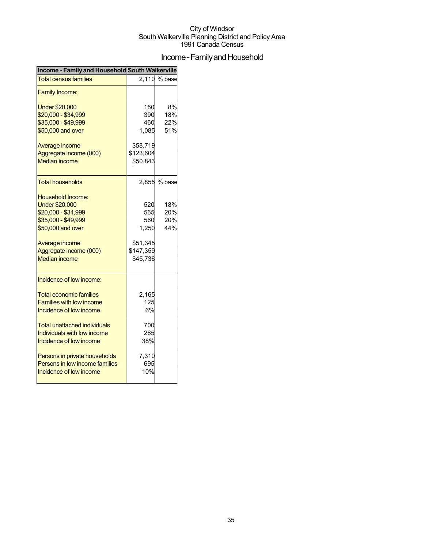## Income - Family and Household

| Income - Family and Household South Walkerville                                                                                                                                                                                                                                       |                                                                 |                          |
|---------------------------------------------------------------------------------------------------------------------------------------------------------------------------------------------------------------------------------------------------------------------------------------|-----------------------------------------------------------------|--------------------------|
| <b>Total census families</b>                                                                                                                                                                                                                                                          |                                                                 | 2,110 % base             |
| <b>Family Income:</b>                                                                                                                                                                                                                                                                 |                                                                 |                          |
| <b>Under \$20,000</b><br>\$20,000 - \$34,999<br>\$35,000 - \$49,999<br>\$50,000 and over                                                                                                                                                                                              | 160<br>390<br>460<br>1,085                                      | 8%<br>18%<br>22%<br>51%  |
| Average income<br>Aggregate income (000)<br><b>Median income</b>                                                                                                                                                                                                                      | \$58,719<br>\$123,604<br>\$50,843                               |                          |
| <b>Total households</b>                                                                                                                                                                                                                                                               |                                                                 | 2,855 % base             |
| Household Income:<br><b>Under \$20,000</b><br>\$20,000 - \$34,999<br>\$35,000 - \$49,999<br>\$50,000 and over<br>Average income<br>Aggregate income (000)<br><b>Median income</b>                                                                                                     | 520<br>565<br>560<br>1,250<br>\$51,345<br>\$147,359<br>\$45,736 | 18%<br>20%<br>20%<br>44% |
| Incidence of low income:<br><b>Total economic families</b><br><b>Families with low income</b><br>Incidence of low income<br>Total unattached individuals<br>Individuals with low income<br>Incidence of low income<br>Persons in private households<br>Persons in low income families | 2,165<br>125<br>6%<br>700<br>265<br>38%<br>7,310<br>695         |                          |
| Incidence of low income                                                                                                                                                                                                                                                               | 10%                                                             |                          |